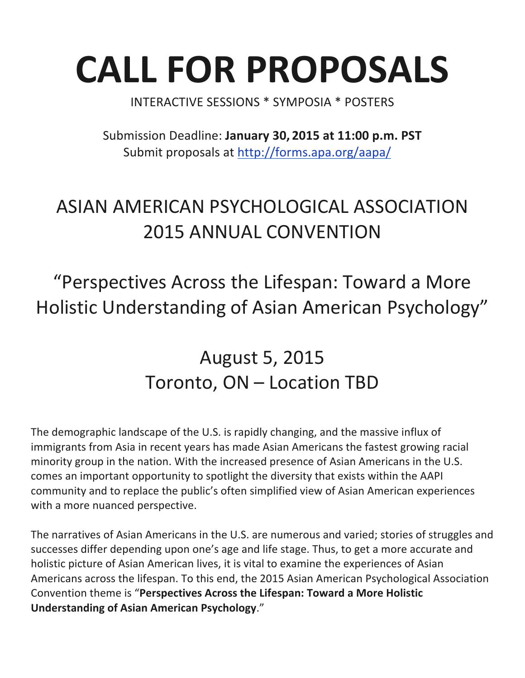# **CALL FOR PROPOSALS**

INTERACTIVE SESSIONS \* SYMPOSIA \* POSTERS

Submission Deadline: **January 30, 2015 at 11:00 p.m. PST** Submit proposals at http://forms.apa.org/aapa/

## ASIAN AMERICAN PSYCHOLOGICAL ASSOCIATION 2015 ANNUAL CONVENTION

"Perspectives Across the Lifespan: Toward a More Holistic Understanding of Asian American Psychology"

## August 5, 2015 Toronto, ON – Location TBD

The demographic landscape of the U.S. is rapidly changing, and the massive influx of immigrants from Asia in recent years has made Asian Americans the fastest growing racial minority group in the nation. With the increased presence of Asian Americans in the U.S. comes an important opportunity to spotlight the diversity that exists within the AAPI community and to replace the public's often simplified view of Asian American experiences with a more nuanced perspective.

The narratives of Asian Americans in the U.S. are numerous and varied; stories of struggles and successes differ depending upon one's age and life stage. Thus, to get a more accurate and holistic picture of Asian American lives, it is vital to examine the experiences of Asian Americans across the lifespan. To this end, the 2015 Asian American Psychological Association Convention theme is "Perspectives Across the Lifespan: Toward a More Holistic **Understanding of Asian American Psychology."**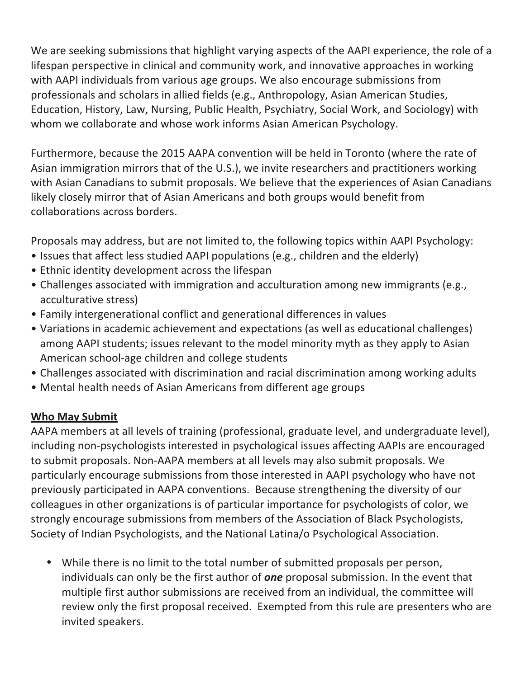We are seeking submissions that highlight varying aspects of the AAPI experience, the role of a lifespan perspective in clinical and community work, and innovative approaches in working with AAPI individuals from various age groups. We also encourage submissions from professionals and scholars in allied fields (e.g., Anthropology, Asian American Studies, Education, History, Law, Nursing, Public Health, Psychiatry, Social Work, and Sociology) with whom we collaborate and whose work informs Asian American Psychology.

Furthermore, because the 2015 AAPA convention will be held in Toronto (where the rate of Asian immigration mirrors that of the U.S.), we invite researchers and practitioners working with Asian Canadians to submit proposals. We believe that the experiences of Asian Canadians likely closely mirror that of Asian Americans and both groups would benefit from collaborations across borders.

Proposals may address, but are not limited to, the following topics within AAPI Psychology:

- Issues that affect less studied AAPI populations (e.g., children and the elderly)
- Ethnic identity development across the lifespan
- Challenges associated with immigration and acculturation among new immigrants (e.g., acculturative stress)
- Family intergenerational conflict and generational differences in values
- Variations in academic achievement and expectations (as well as educational challenges) among AAPI students; issues relevant to the model minority myth as they apply to Asian American school-age children and college students
- Challenges associated with discrimination and racial discrimination among working adults
- Mental health needs of Asian Americans from different age groups

#### **Who May Submit**

AAPA members at all levels of training (professional, graduate level, and undergraduate level), including non-psychologists interested in psychological issues affecting AAPIs are encouraged to submit proposals. Non-AAPA members at all levels may also submit proposals. We particularly encourage submissions from those interested in AAPI psychology who have not previously participated in AAPA conventions. Because strengthening the diversity of our colleagues in other organizations is of particular importance for psychologists of color, we strongly encourage submissions from members of the Association of Black Psychologists, Society of Indian Psychologists, and the National Latina/o Psychological Association.

• While there is no limit to the total number of submitted proposals per person, individuals can only be the first author of **one** proposal submission. In the event that multiple first author submissions are received from an individual, the committee will review only the first proposal received. Exempted from this rule are presenters who are invited speakers.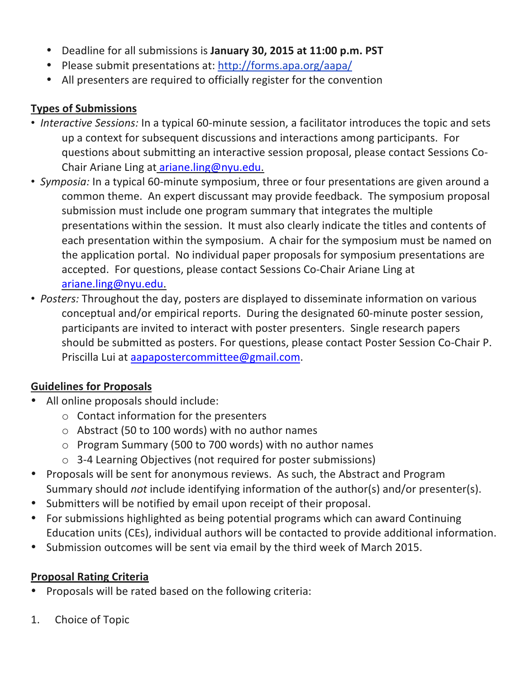- Deadline for all submissions is January 30, 2015 at 11:00 p.m. PST
- Please submit presentations at: http://forms.apa.org/aapa/
- All presenters are required to officially register for the convention

#### **Types of Submissions**

- *Interactive Sessions:* In a typical 60-minute session, a facilitator introduces the topic and sets up a context for subsequent discussions and interactions among participants. For questions about submitting an interactive session proposal, please contact Sessions Co-Chair Ariane Ling at ariane.ling@nyu.edu.
- *Symposia:* In a typical 60-minute symposium, three or four presentations are given around a common theme. An expert discussant may provide feedback. The symposium proposal submission must include one program summary that integrates the multiple presentations within the session. It must also clearly indicate the titles and contents of each presentation within the symposium. A chair for the symposium must be named on the application portal. No individual paper proposals for symposium presentations are accepted. For questions, please contact Sessions Co-Chair Ariane Ling at ariane.ling@nyu.edu.
- *Posters:* Throughout the day, posters are displayed to disseminate information on various conceptual and/or empirical reports. During the designated 60-minute poster session, participants are invited to interact with poster presenters. Single research papers should be submitted as posters. For questions, please contact Poster Session Co-Chair P. Priscilla Lui at aapapostercommittee@gmail.com.

#### **Guidelines for Proposals**

- All online proposals should include:
	- $\circ$  Contact information for the presenters
	- $\circ$  Abstract (50 to 100 words) with no author names
	- $\circ$  Program Summary (500 to 700 words) with no author names
	- $\circ$  3-4 Learning Objectives (not required for poster submissions)
- Proposals will be sent for anonymous reviews. As such, the Abstract and Program Summary should *not* include identifying information of the author(s) and/or presenter(s).
- Submitters will be notified by email upon receipt of their proposal.
- For submissions highlighted as being potential programs which can award Continuing Education units (CEs), individual authors will be contacted to provide additional information.
- Submission outcomes will be sent via email by the third week of March 2015.

### **Proposal Rating Criteria**

- Proposals will be rated based on the following criteria:
- 1. Choice of Topic